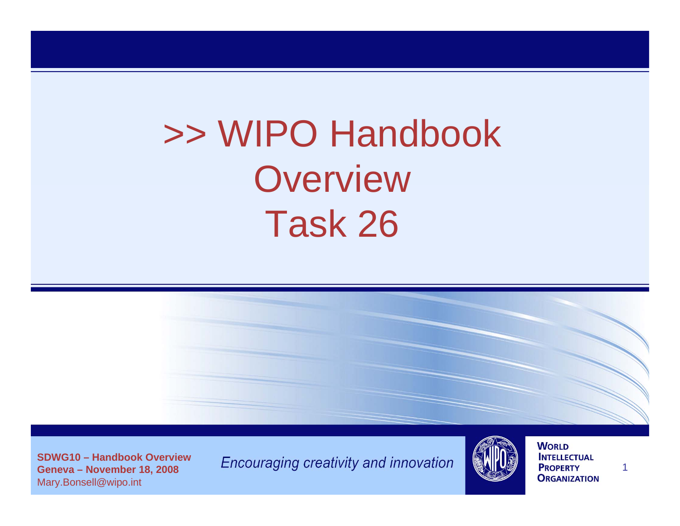# >> WIPO Handbook **Overview** Task 26



**SDWG10 – Handbook OverviewGeneva – November 18, 2008**  Mary.Bonsell@wipo.int

Encouraging creativity and innovation



**WORLD INTELLECTUAL PROPERTY ORGANIZATION**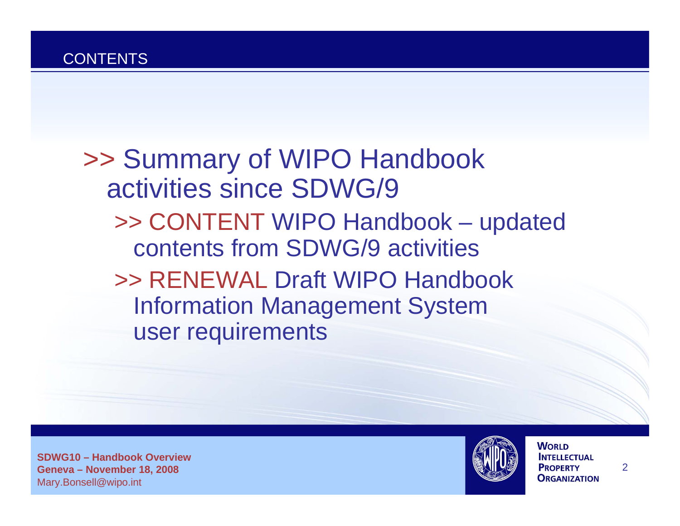>> Summary of WIPO Handbook activities since SDWG/9 >> CONTENT WIPO Handbook – updated contents from SDWG/9 activities >> RENEWAL Draft WIPO Handbook Information Management System user requirements

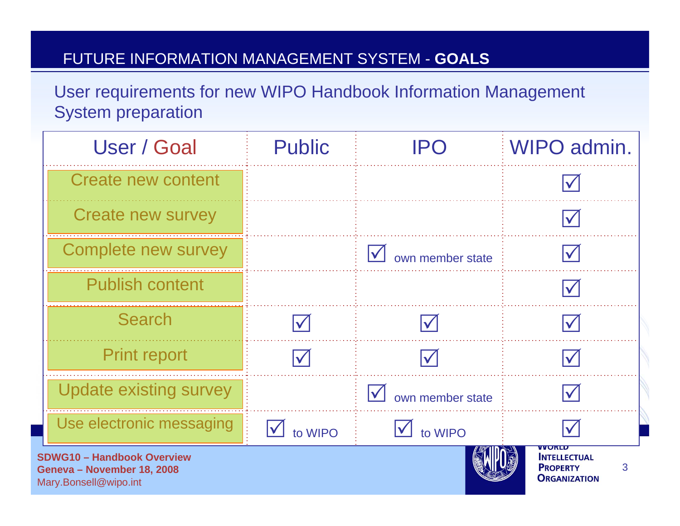#### FUTURE INFORMATION MANAGEMENT SYSTEM - **GOALS**

User requirements for new WIPO Handbook Information Management System preparation

| User / Goal                                                     | <b>Public</b>                   | IPO              | WIPO admin.                                     |
|-----------------------------------------------------------------|---------------------------------|------------------|-------------------------------------------------|
| Create new content                                              |                                 |                  |                                                 |
| <b>Create new survey</b>                                        |                                 |                  |                                                 |
| Complete new survey                                             |                                 | own member state |                                                 |
| <b>Publish content</b>                                          |                                 |                  |                                                 |
| <b>Search</b>                                                   |                                 |                  |                                                 |
| <b>Print report</b>                                             |                                 |                  |                                                 |
| <b>Update existing survey</b>                                   |                                 | own member state |                                                 |
| Use electronic messaging                                        | $\blacktriangledown$<br>to WIPO | to WIPO          |                                                 |
| <b>SDWG10 - Handbook Overview</b><br>Geneva – November 18, 2008 |                                 |                  | WUNLU<br><b>INTELLECTUAL</b><br><b>PROPERTY</b> |

**ORGANIZATION** 

Mary.Bonsell@wipo.int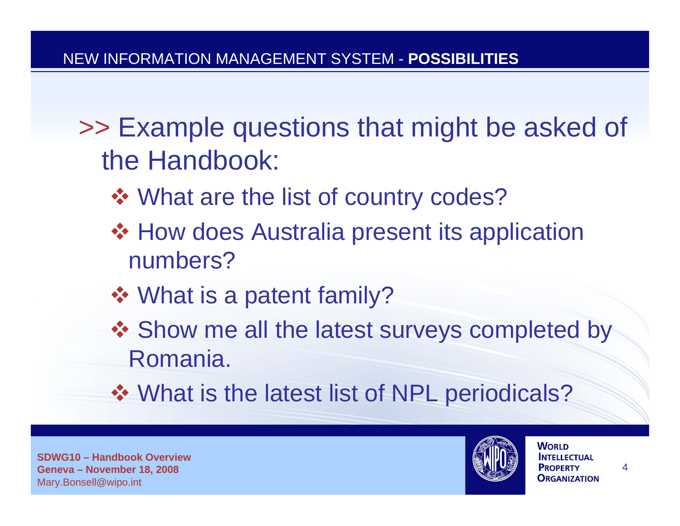- >> Example questions that might be asked of the Handbook:
	- **❖ What are the list of country codes?**
	- ❖ How does Australia present its application numbers?
	- What is a patent family?
	- ❖ Show me all the latest surveys completed by Romania.
	- ❖ What is the latest list of NPL periodicals?

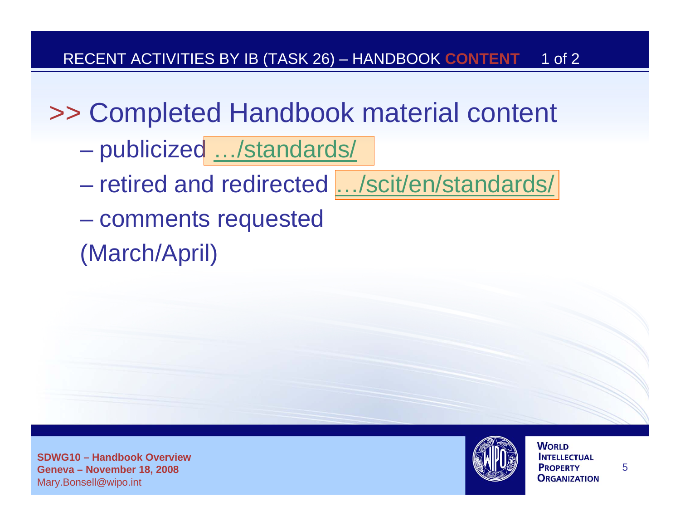## >> Completed Handbook material content

- publicized …/standards/
- retired and redirected […/scit/en/standards/](http://www.wipo.int/scit/en/standards/)
- comments requested
- (March/April)

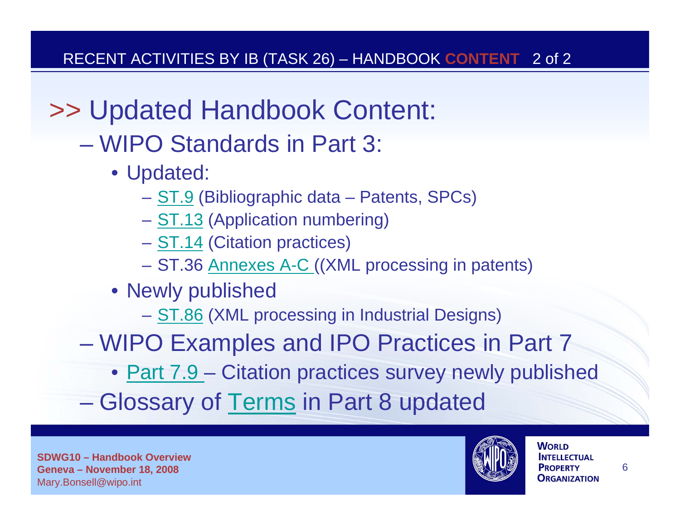# >> Updated Handbook Content:

- WIPO Standards in Part 3:
	- Updated:
		- [ST.9](http://www.wipo.int/export/sites/www/standards/en/tracked-changes/03-09-01_changes_2008.pdf) (Bibliographic data Patents, SPCs)
		- [ST.13](http://www.wipo.int/export/sites/www/standards/en/tracked-changes/03-13-01_changes_2008.pdf) (Application numbering)
		- [ST.14](http://www.wipo.int/export/sites/www/standards/en/tracked-changes/03-14-01_changes_2008.pdf) (Citation practices)
		- ST.36 [Annexes A-C](http://www.wipo.int/standards/en/xml_material/st36/revision-history/index.html) ((XML processing in patents)
	- Newly published
		- [ST.86](http://www.wipo.int/standards/en/part_03_standards.html#group-d) (XML processing in Industrial Designs)
- WIPO Examples and IPO Practices in Part 7
	- [Part 7.9](http://www.wipo.int/export/sites/www/standards/en/pdf/07-09-01.pdf)  Citation practices survey newly published
- Glossary of [Terms](http://www.wipo.int/export/sites/www/standards/en/pdf/08-01-01.pdf) in Part 8 updated

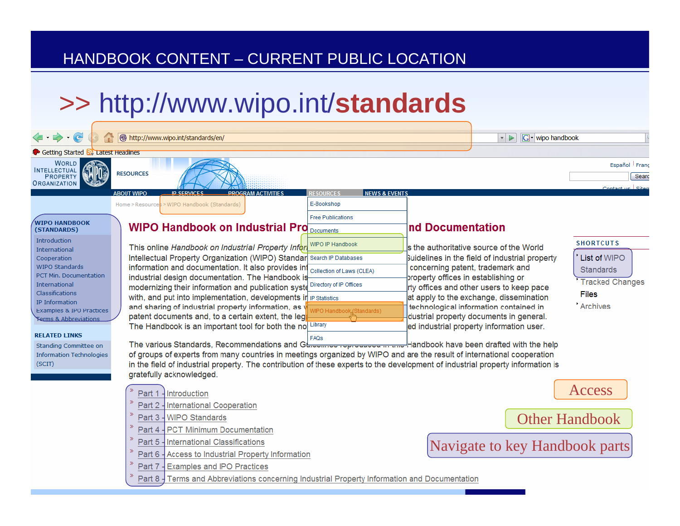#### HANDBOOK CONTENT – CURRENT PUBLIC LOCATION

### >> http://www.wipo.int/**standards**

| $\Leftrightarrow$ $\Theta$                      | 0<br>http://www.wipo.int/standards/en/                                                                                                                                                                                                                    | <b>G</b> - wipo handbook<br>×.<br>$\triangleright$ |                                                                                     |  |  |  |
|-------------------------------------------------|-----------------------------------------------------------------------------------------------------------------------------------------------------------------------------------------------------------------------------------------------------------|----------------------------------------------------|-------------------------------------------------------------------------------------|--|--|--|
| Getting Started <b>by Latest Headlines</b>      |                                                                                                                                                                                                                                                           |                                                    |                                                                                     |  |  |  |
| <b>WORLD</b><br><b>INTELLECTUAL</b>             |                                                                                                                                                                                                                                                           |                                                    | Español Franç                                                                       |  |  |  |
| <b>PROPERTY</b><br>) RGANIZATION                | <b>RESOURCES</b>                                                                                                                                                                                                                                          |                                                    | Searc                                                                               |  |  |  |
|                                                 | <b>RESOURCES</b><br><b>ABOUT WIPO</b><br><b>ID SERVICES</b><br><b>PROGRAM ACTIVITIES</b>                                                                                                                                                                  | <b>NEWS &amp; EVENTS</b>                           |                                                                                     |  |  |  |
|                                                 | E-Bookshop<br>>WIPO Handbook (Standards)<br>Home > Resources                                                                                                                                                                                              |                                                    |                                                                                     |  |  |  |
| <b>WIPO HANDBOOK</b>                            | <b>Free Publications</b>                                                                                                                                                                                                                                  |                                                    |                                                                                     |  |  |  |
| (STANDARDS)                                     | <b>WIPO Handbook on Industrial Pro Documents</b>                                                                                                                                                                                                          | nd Documentation                                   |                                                                                     |  |  |  |
| Introduction<br>International                   | <b>WIPO IP Handbook</b><br>This online Handbook on Industrial Property Infor                                                                                                                                                                              |                                                    | <b>SHORTCUTS</b><br>ls the authoritative source of the World                        |  |  |  |
| Cooperation                                     | Intellectual Property Organization (WIPO) Standar Search IP Databases                                                                                                                                                                                     |                                                    | Buidelines in the field of industrial property<br>List of WIPO                      |  |  |  |
| WIPO Standards<br><b>PCT Min. Documentation</b> | information and documentation. It also provides in<br>Collection of Laws (CLEA)                                                                                                                                                                           | concerning patent, trademark and                   | Standards                                                                           |  |  |  |
| <b>International</b>                            | industrial design documentation. The Handbook is<br>Directory of IP Offices<br>modernizing their information and publication syste                                                                                                                        | property offices in establishing or                | <b>Tracked Changes</b><br>rty offices and other users to keep pace                  |  |  |  |
| Classifications                                 | with, and put into implementation, developments in iP Statistics                                                                                                                                                                                          |                                                    | <b>Files</b><br>at apply to the exchange, dissemination                             |  |  |  |
| IP Information<br>Examples & IPO Practices      | and sharing of industrial property information, as v                                                                                                                                                                                                      | O Handbook (Standards)                             | Archives<br>technological information contained in                                  |  |  |  |
| <b>Terms &amp; Abbreviations</b>                | patent documents and, to a certain extent, the leg<br>Library<br>The Handbook is an important tool for both the no                                                                                                                                        |                                                    | dustrial property documents in general.<br>ed industrial property information user. |  |  |  |
| <b>RELATED LINKS</b>                            | FAQS                                                                                                                                                                                                                                                      |                                                    |                                                                                     |  |  |  |
| Standing Committee on                           | The various Standards, Recommendations and Gtreet and control the method of have been drafted with the help                                                                                                                                               |                                                    |                                                                                     |  |  |  |
| <b>Information Technologies</b><br>(SCIT)       | of groups of experts from many countries in meetings organized by WIPO and are the result of international cooperation<br>in the field of industrial property. The contribution of these experts to the development of industrial property information is |                                                    |                                                                                     |  |  |  |
|                                                 | gratefully acknowledged.                                                                                                                                                                                                                                  |                                                    |                                                                                     |  |  |  |
|                                                 | Part 1 - Introduction                                                                                                                                                                                                                                     |                                                    | Access                                                                              |  |  |  |
|                                                 | ≫<br>Part 2 - International Cooperation                                                                                                                                                                                                                   |                                                    |                                                                                     |  |  |  |
|                                                 | -WIPO Standards<br>Part 3                                                                                                                                                                                                                                 |                                                    |                                                                                     |  |  |  |
|                                                 | $\gg$<br>Part 4 - PCT Minimum Documentation                                                                                                                                                                                                               |                                                    | <b>Other Handbook</b>                                                               |  |  |  |
|                                                 | Part 5<br>International Classifications                                                                                                                                                                                                                   |                                                    |                                                                                     |  |  |  |
|                                                 | $\gg$<br>- Access to Industrial Property Information<br>Part 6                                                                                                                                                                                            |                                                    | Navigate to key Handbook parts                                                      |  |  |  |
|                                                 | <b>Examples and IPO Practices</b><br>Part 7                                                                                                                                                                                                               |                                                    |                                                                                     |  |  |  |
|                                                 | Terms and Abbreviations concerning Industrial Property Information and Documentation<br>Part 8                                                                                                                                                            |                                                    |                                                                                     |  |  |  |
|                                                 |                                                                                                                                                                                                                                                           |                                                    |                                                                                     |  |  |  |